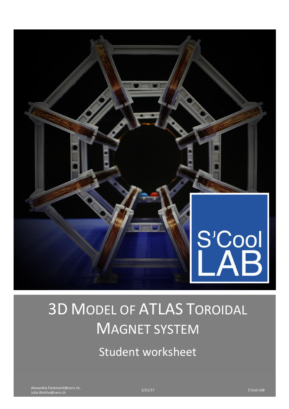

## 3D MODEL OF ATLAS TOROIDAL MAGNET SYSTEM

Student worksheet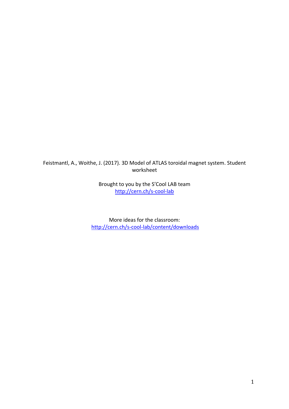Feistmantl, A., Woithe, J. (2017). 3D Model of ATLAS toroidal magnet system. Student worksheet

> Brought to you by the S'Cool LAB team <http://cern.ch/s-cool-lab>

More ideas for the classroom: <http://cern.ch/s-cool-lab/content/downloads>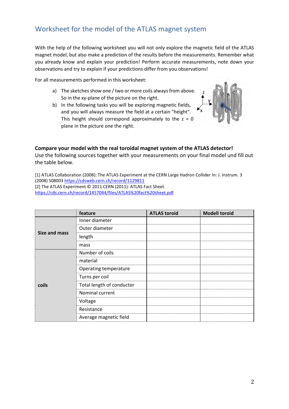## Worksheet for the model of the ATLAS magnet system

With the help of the following worksheet you will not only explore the magnetic field of the ATLAS magnet model, but also make a prediction of the results before the measurements. Remember what you already know and explain your prediction! Perform accurate measurements, note down your observations and try to explain if your predictions differ from you observations!

z

y

x

For all measurements performed in this worksheet:

- a) The sketches show one / two or more coils always from above. So in the xy-plane of the picture on the right.
- b) In the following tasks you will be exploring magnetic fields, and you will always measure the field at a certain "height". This height should correspond approximately to the  $z = 0$ plane in the picture one the right.

**Compare your model with the real toroidal magnet system of the ATLAS detector!** Use the following sources together with your measurements on your final model und fill out the table below.

[1] ATLAS Collaboration (2008): The ATLAS Experiment at the CERN Large Hadron Collider In: J. Instrum. 3 (2008) S08003<https://cdsweb.cern.ch/record/1129811> [2] The ATLAS Experiment © 2011 CERN (2011): ATLAS Fact Sheet. <https://cds.cern.ch/record/1457044/files/ATLAS%20fact%20sheet.pdf>

|               | feature                   | <b>ATLAS toroid</b> | <b>Modell toroid</b> |
|---------------|---------------------------|---------------------|----------------------|
| Size and mass | Inner diameter            |                     |                      |
|               | Outer diameter            |                     |                      |
|               | length                    |                     |                      |
|               | mass                      |                     |                      |
| coils         | Number of coils           |                     |                      |
|               | material                  |                     |                      |
|               | Operating temperature     |                     |                      |
|               | Turns per coil            |                     |                      |
|               | Total length of conductor |                     |                      |
|               | Nominal current           |                     |                      |
|               | Voltage                   |                     |                      |
|               | Resistance                |                     |                      |
|               | Average magnetic field    |                     |                      |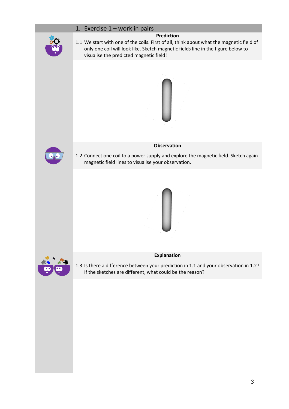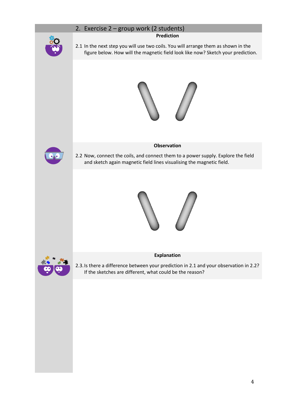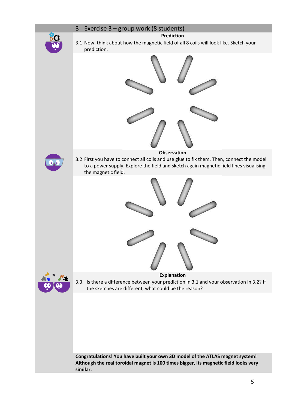